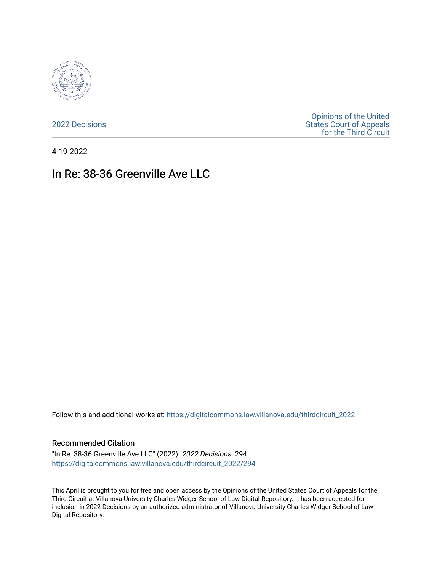

[2022 Decisions](https://digitalcommons.law.villanova.edu/thirdcircuit_2022)

[Opinions of the United](https://digitalcommons.law.villanova.edu/thirdcircuit)  [States Court of Appeals](https://digitalcommons.law.villanova.edu/thirdcircuit)  [for the Third Circuit](https://digitalcommons.law.villanova.edu/thirdcircuit) 

4-19-2022

# In Re: 38-36 Greenville Ave LLC

Follow this and additional works at: [https://digitalcommons.law.villanova.edu/thirdcircuit\\_2022](https://digitalcommons.law.villanova.edu/thirdcircuit_2022?utm_source=digitalcommons.law.villanova.edu%2Fthirdcircuit_2022%2F294&utm_medium=PDF&utm_campaign=PDFCoverPages) 

#### Recommended Citation

"In Re: 38-36 Greenville Ave LLC" (2022). 2022 Decisions. 294. [https://digitalcommons.law.villanova.edu/thirdcircuit\\_2022/294](https://digitalcommons.law.villanova.edu/thirdcircuit_2022/294?utm_source=digitalcommons.law.villanova.edu%2Fthirdcircuit_2022%2F294&utm_medium=PDF&utm_campaign=PDFCoverPages)

This April is brought to you for free and open access by the Opinions of the United States Court of Appeals for the Third Circuit at Villanova University Charles Widger School of Law Digital Repository. It has been accepted for inclusion in 2022 Decisions by an authorized administrator of Villanova University Charles Widger School of Law Digital Repository.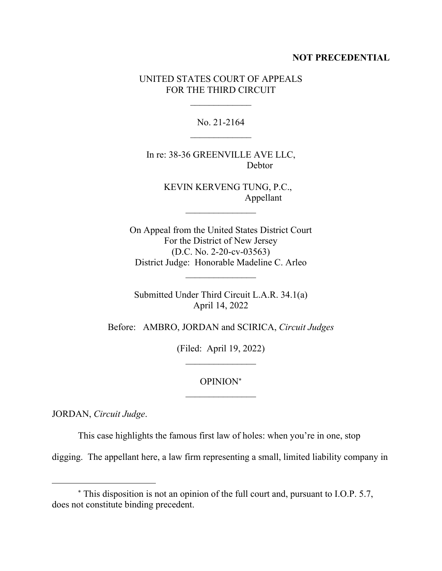#### **NOT PRECEDENTIAL**

### UNITED STATES COURT OF APPEALS FOR THE THIRD CIRCUIT

No. 21-2164

In re: 38-36 GREENVILLE AVE LLC, Debtor

> KEVIN KERVENG TUNG, P.C., Appellant

On Appeal from the United States District Court For the District of New Jersey (D.C. No. 2-20-cv-03563) District Judge: Honorable Madeline C. Arleo

 $\frac{1}{2}$ 

Submitted Under Third Circuit L.A.R. 34.1(a) April 14, 2022

Before: AMBRO, JORDAN and SCIRICA, *Circuit Judges*

(Filed: April 19, 2022)  $\mathcal{L}_\text{max}$ 

> OPINION  $\mathcal{L}_\text{max}$

JORDAN, *Circuit Judge*.

This case highlights the famous first law of holes: when you're in one, stop

digging. The appellant here, a law firm representing a small, limited liability company in

This disposition is not an opinion of the full court and, pursuant to I.O.P. 5.7, does not constitute binding precedent.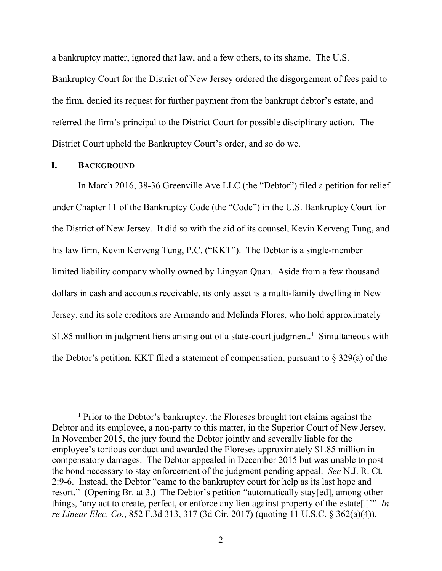a bankruptcy matter, ignored that law, and a few others, to its shame. The U.S.

Bankruptcy Court for the District of New Jersey ordered the disgorgement of fees paid to the firm, denied its request for further payment from the bankrupt debtor's estate, and referred the firm's principal to the District Court for possible disciplinary action. The District Court upheld the Bankruptcy Court's order, and so do we.

#### **I. BACKGROUND**

In March 2016, 38-36 Greenville Ave LLC (the "Debtor") filed a petition for relief under Chapter 11 of the Bankruptcy Code (the "Code") in the U.S. Bankruptcy Court for the District of New Jersey. It did so with the aid of its counsel, Kevin Kerveng Tung, and his law firm, Kevin Kerveng Tung, P.C. ("KKT"). The Debtor is a single-member limited liability company wholly owned by Lingyan Quan. Aside from a few thousand dollars in cash and accounts receivable, its only asset is a multi-family dwelling in New Jersey, and its sole creditors are Armando and Melinda Flores, who hold approximately \$1.85 million in judgment liens arising out of a state-court judgment. 1 Simultaneous with the Debtor's petition, KKT filed a statement of compensation, pursuant to  $\S 329(a)$  of the

<sup>&</sup>lt;sup>1</sup> Prior to the Debtor's bankruptcy, the Floreses brought tort claims against the Debtor and its employee, a non-party to this matter, in the Superior Court of New Jersey. In November 2015, the jury found the Debtor jointly and severally liable for the employee's tortious conduct and awarded the Floreses approximately \$1.85 million in compensatory damages. The Debtor appealed in December 2015 but was unable to post the bond necessary to stay enforcement of the judgment pending appeal. *See* N.J. R. Ct. 2:9-6. Instead, the Debtor "came to the bankruptcy court for help as its last hope and resort." (Opening Br. at 3.) The Debtor's petition "automatically stay[ed], among other things, 'any act to create, perfect, or enforce any lien against property of the estate[.]'" *In re Linear Elec. Co.*, 852 F.3d 313, 317 (3d Cir. 2017) (quoting 11 U.S.C. § 362(a)(4)).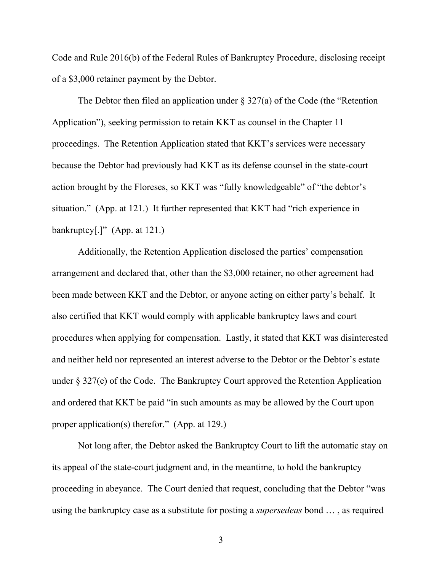Code and Rule 2016(b) of the Federal Rules of Bankruptcy Procedure, disclosing receipt of a \$3,000 retainer payment by the Debtor.

The Debtor then filed an application under  $\S 327(a)$  of the Code (the "Retention Application"), seeking permission to retain KKT as counsel in the Chapter 11 proceedings. The Retention Application stated that KKT's services were necessary because the Debtor had previously had KKT as its defense counsel in the state-court action brought by the Floreses, so KKT was "fully knowledgeable" of "the debtor's situation." (App. at 121.) It further represented that KKT had "rich experience in bankruptcy $[.]$ " (App. at 121.)

Additionally, the Retention Application disclosed the parties' compensation arrangement and declared that, other than the \$3,000 retainer, no other agreement had been made between KKT and the Debtor, or anyone acting on either party's behalf. It also certified that KKT would comply with applicable bankruptcy laws and court procedures when applying for compensation. Lastly, it stated that KKT was disinterested and neither held nor represented an interest adverse to the Debtor or the Debtor's estate under § 327(e) of the Code. The Bankruptcy Court approved the Retention Application and ordered that KKT be paid "in such amounts as may be allowed by the Court upon proper application(s) therefor." (App. at 129.)

Not long after, the Debtor asked the Bankruptcy Court to lift the automatic stay on its appeal of the state-court judgment and, in the meantime, to hold the bankruptcy proceeding in abeyance. The Court denied that request, concluding that the Debtor "was using the bankruptcy case as a substitute for posting a *supersedeas* bond … , as required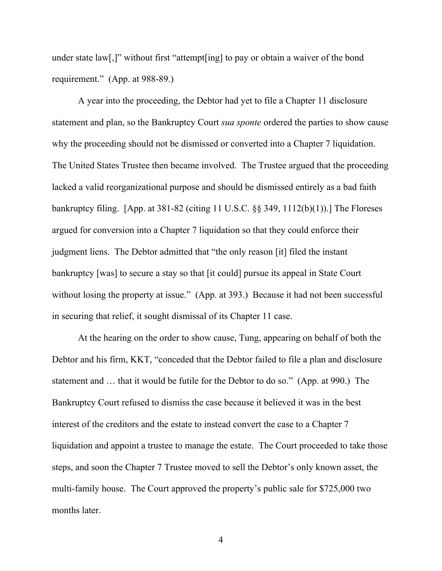under state law[,]" without first "attempt[ing] to pay or obtain a waiver of the bond requirement." (App. at 988-89.)

A year into the proceeding, the Debtor had yet to file a Chapter 11 disclosure statement and plan, so the Bankruptcy Court *sua sponte* ordered the parties to show cause why the proceeding should not be dismissed or converted into a Chapter 7 liquidation. The United States Trustee then became involved. The Trustee argued that the proceeding lacked a valid reorganizational purpose and should be dismissed entirely as a bad faith bankruptcy filing. [App. at 381-82 (citing 11 U.S.C. §§ 349, 1112(b)(1)).] The Floreses argued for conversion into a Chapter 7 liquidation so that they could enforce their judgment liens. The Debtor admitted that "the only reason [it] filed the instant bankruptcy [was] to secure a stay so that [it could] pursue its appeal in State Court without losing the property at issue." (App. at 393.) Because it had not been successful in securing that relief, it sought dismissal of its Chapter 11 case.

At the hearing on the order to show cause, Tung, appearing on behalf of both the Debtor and his firm, KKT, "conceded that the Debtor failed to file a plan and disclosure statement and … that it would be futile for the Debtor to do so." (App. at 990.) The Bankruptcy Court refused to dismiss the case because it believed it was in the best interest of the creditors and the estate to instead convert the case to a Chapter 7 liquidation and appoint a trustee to manage the estate. The Court proceeded to take those steps, and soon the Chapter 7 Trustee moved to sell the Debtor's only known asset, the multi-family house. The Court approved the property's public sale for \$725,000 two months later.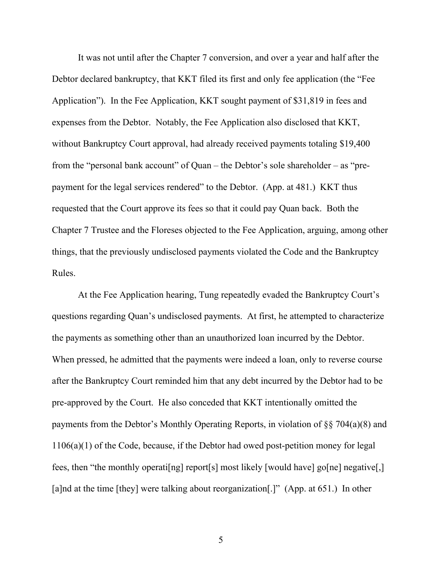It was not until after the Chapter 7 conversion, and over a year and half after the Debtor declared bankruptcy, that KKT filed its first and only fee application (the "Fee Application"). In the Fee Application, KKT sought payment of \$31,819 in fees and expenses from the Debtor. Notably, the Fee Application also disclosed that KKT, without Bankruptcy Court approval, had already received payments totaling \$19,400 from the "personal bank account" of Quan – the Debtor's sole shareholder – as "prepayment for the legal services rendered" to the Debtor. (App. at 481.) KKT thus requested that the Court approve its fees so that it could pay Quan back. Both the Chapter 7 Trustee and the Floreses objected to the Fee Application, arguing, among other things, that the previously undisclosed payments violated the Code and the Bankruptcy Rules.

At the Fee Application hearing, Tung repeatedly evaded the Bankruptcy Court's questions regarding Quan's undisclosed payments. At first, he attempted to characterize the payments as something other than an unauthorized loan incurred by the Debtor. When pressed, he admitted that the payments were indeed a loan, only to reverse course after the Bankruptcy Court reminded him that any debt incurred by the Debtor had to be pre-approved by the Court. He also conceded that KKT intentionally omitted the payments from the Debtor's Monthly Operating Reports, in violation of §§ 704(a)(8) and 1106(a)(1) of the Code, because, if the Debtor had owed post-petition money for legal fees, then "the monthly operati[ng] report[s] most likely [would have] go[ne] negative[,] [a]nd at the time [they] were talking about reorganization[.]" (App. at 651.) In other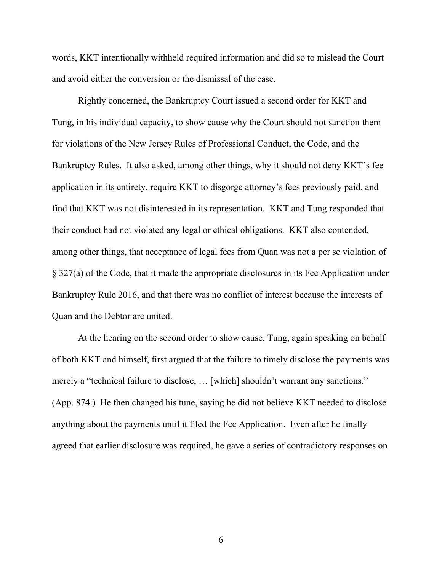words, KKT intentionally withheld required information and did so to mislead the Court and avoid either the conversion or the dismissal of the case.

Rightly concerned, the Bankruptcy Court issued a second order for KKT and Tung, in his individual capacity, to show cause why the Court should not sanction them for violations of the New Jersey Rules of Professional Conduct, the Code, and the Bankruptcy Rules. It also asked, among other things, why it should not deny KKT's fee application in its entirety, require KKT to disgorge attorney's fees previously paid, and find that KKT was not disinterested in its representation. KKT and Tung responded that their conduct had not violated any legal or ethical obligations. KKT also contended, among other things, that acceptance of legal fees from Quan was not a per se violation of § 327(a) of the Code, that it made the appropriate disclosures in its Fee Application under Bankruptcy Rule 2016, and that there was no conflict of interest because the interests of Quan and the Debtor are united.

At the hearing on the second order to show cause, Tung, again speaking on behalf of both KKT and himself, first argued that the failure to timely disclose the payments was merely a "technical failure to disclose, … [which] shouldn't warrant any sanctions." (App. 874.) He then changed his tune, saying he did not believe KKT needed to disclose anything about the payments until it filed the Fee Application. Even after he finally agreed that earlier disclosure was required, he gave a series of contradictory responses on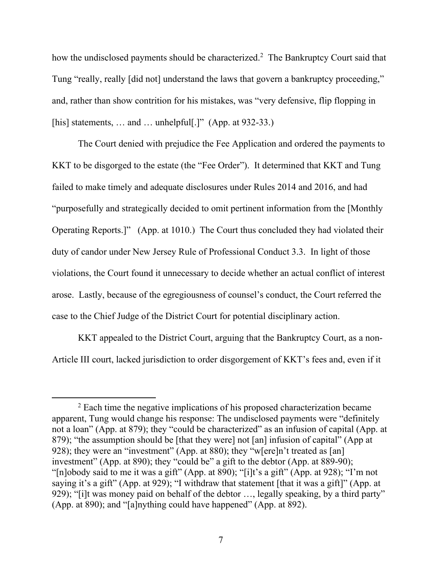how the undisclosed payments should be characterized. <sup>2</sup> The Bankruptcy Court said that Tung "really, really [did not] understand the laws that govern a bankruptcy proceeding," and, rather than show contrition for his mistakes, was "very defensive, flip flopping in [his] statements, ... and ... unhelpful<sup>[1]</sup>" (App. at 932-33.)

The Court denied with prejudice the Fee Application and ordered the payments to KKT to be disgorged to the estate (the "Fee Order"). It determined that KKT and Tung failed to make timely and adequate disclosures under Rules 2014 and 2016, and had "purposefully and strategically decided to omit pertinent information from the [Monthly Operating Reports.]" (App. at 1010.) The Court thus concluded they had violated their duty of candor under New Jersey Rule of Professional Conduct 3.3. In light of those violations, the Court found it unnecessary to decide whether an actual conflict of interest arose. Lastly, because of the egregiousness of counsel's conduct, the Court referred the case to the Chief Judge of the District Court for potential disciplinary action.

KKT appealed to the District Court, arguing that the Bankruptcy Court, as a non-Article III court, lacked jurisdiction to order disgorgement of KKT's fees and, even if it

<sup>&</sup>lt;sup>2</sup> Each time the negative implications of his proposed characterization became apparent, Tung would change his response: The undisclosed payments were "definitely not a loan" (App. at 879); they "could be characterized" as an infusion of capital (App. at 879); "the assumption should be [that they were] not [an] infusion of capital" (App at 928); they were an "investment" (App. at 880); they "w[ere]n't treated as [an] investment" (App. at 890); they "could be" a gift to the debtor (App. at 889-90); "[n]obody said to me it was a gift" (App. at 890); "[i]t's a gift" (App. at 928); "I'm not saying it's a gift" (App. at 929); "I withdraw that statement [that it was a gift]" (App. at 929); "[i]t was money paid on behalf of the debtor …, legally speaking, by a third party" (App. at 890); and "[a]nything could have happened" (App. at 892).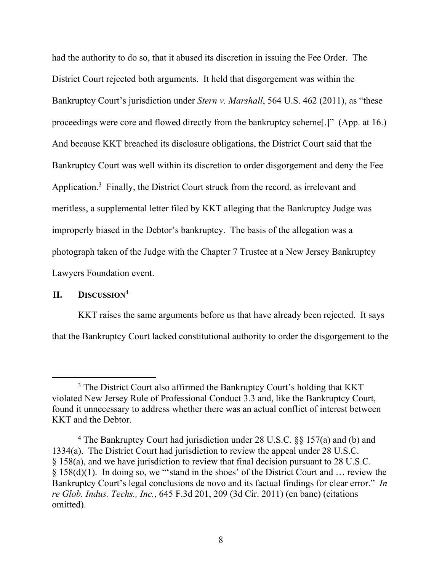had the authority to do so, that it abused its discretion in issuing the Fee Order. The District Court rejected both arguments. It held that disgorgement was within the Bankruptcy Court's jurisdiction under *Stern v. Marshall*, 564 U.S. 462 (2011), as "these proceedings were core and flowed directly from the bankruptcy scheme[.]" (App. at 16.) And because KKT breached its disclosure obligations, the District Court said that the Bankruptcy Court was well within its discretion to order disgorgement and deny the Fee Application.<sup>3</sup> Finally, the District Court struck from the record, as irrelevant and meritless, a supplemental letter filed by KKT alleging that the Bankruptcy Judge was improperly biased in the Debtor's bankruptcy. The basis of the allegation was a photograph taken of the Judge with the Chapter 7 Trustee at a New Jersey Bankruptcy Lawyers Foundation event.

## **II. DISCUSSION**<sup>4</sup>

KKT raises the same arguments before us that have already been rejected. It says that the Bankruptcy Court lacked constitutional authority to order the disgorgement to the

<sup>&</sup>lt;sup>3</sup> The District Court also affirmed the Bankruptcy Court's holding that KKT violated New Jersey Rule of Professional Conduct 3.3 and, like the Bankruptcy Court, found it unnecessary to address whether there was an actual conflict of interest between KKT and the Debtor.

<sup>4</sup> The Bankruptcy Court had jurisdiction under 28 U.S.C. §§ 157(a) and (b) and 1334(a). The District Court had jurisdiction to review the appeal under 28 U.S.C. § 158(a), and we have jurisdiction to review that final decision pursuant to 28 U.S.C. § 158(d)(1). In doing so, we "'stand in the shoes' of the District Court and … review the Bankruptcy Court's legal conclusions de novo and its factual findings for clear error." *In re Glob. Indus. Techs., Inc.*, 645 F.3d 201, 209 (3d Cir. 2011) (en banc) (citations omitted).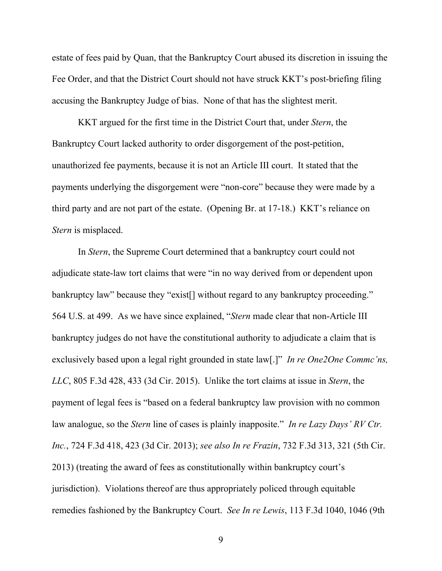estate of fees paid by Quan, that the Bankruptcy Court abused its discretion in issuing the Fee Order, and that the District Court should not have struck KKT's post-briefing filing accusing the Bankruptcy Judge of bias. None of that has the slightest merit.

KKT argued for the first time in the District Court that, under *Stern*, the Bankruptcy Court lacked authority to order disgorgement of the post-petition, unauthorized fee payments, because it is not an Article III court. It stated that the payments underlying the disgorgement were "non-core" because they were made by a third party and are not part of the estate. (Opening Br. at 17-18.)KKT's reliance on *Stern* is misplaced.

In *Stern*, the Supreme Court determined that a bankruptcy court could not adjudicate state-law tort claims that were "in no way derived from or dependent upon bankruptcy law" because they "exist<sup>[]</sup> without regard to any bankruptcy proceeding." 564 U.S. at 499. As we have since explained, "*Stern* made clear that non-Article III bankruptcy judges do not have the constitutional authority to adjudicate a claim that is exclusively based upon a legal right grounded in state law[.]" *In re One2One Commc'ns, LLC*, 805 F.3d 428, 433 (3d Cir. 2015). Unlike the tort claims at issue in *Stern*, the payment of legal fees is "based on a federal bankruptcy law provision with no common law analogue, so the *Stern* line of cases is plainly inapposite." *In re Lazy Days' RV Ctr. Inc.*, 724 F.3d 418, 423 (3d Cir. 2013); *see also In re Frazin*, 732 F.3d 313, 321 (5th Cir. 2013) (treating the award of fees as constitutionally within bankruptcy court's jurisdiction). Violations thereof are thus appropriately policed through equitable remedies fashioned by the Bankruptcy Court. *See In re Lewis*, 113 F.3d 1040, 1046 (9th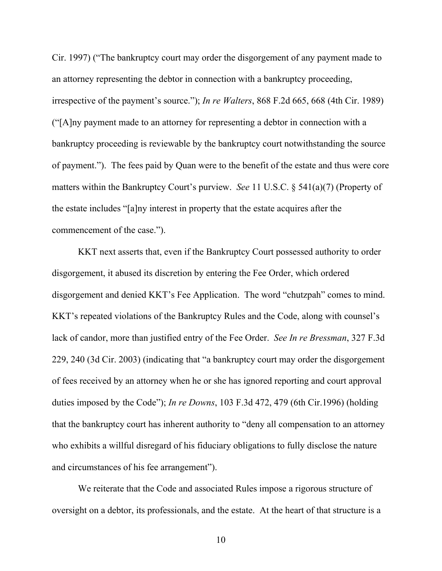Cir. 1997) ("The bankruptcy court may order the disgorgement of any payment made to an attorney representing the debtor in connection with a bankruptcy proceeding, irrespective of the payment's source."); *In re Walters*, 868 F.2d 665, 668 (4th Cir. 1989) ("[A]ny payment made to an attorney for representing a debtor in connection with a bankruptcy proceeding is reviewable by the bankruptcy court notwithstanding the source of payment."). The fees paid by Quan were to the benefit of the estate and thus were core matters within the Bankruptcy Court's purview. *See* 11 U.S.C. § 541(a)(7) (Property of the estate includes "[a]ny interest in property that the estate acquires after the commencement of the case.").

KKT next asserts that, even if the Bankruptcy Court possessed authority to order disgorgement, it abused its discretion by entering the Fee Order, which ordered disgorgement and denied KKT's Fee Application. The word "chutzpah" comes to mind. KKT's repeated violations of the Bankruptcy Rules and the Code, along with counsel's lack of candor, more than justified entry of the Fee Order. *See In re Bressman*, 327 F.3d 229, 240 (3d Cir. 2003) (indicating that "a bankruptcy court may order the disgorgement of fees received by an attorney when he or she has ignored reporting and court approval duties imposed by the Code"); *In re Downs*, 103 F.3d 472, 479 (6th Cir.1996) (holding that the bankruptcy court has inherent authority to "deny all compensation to an attorney who exhibits a willful disregard of his fiduciary obligations to fully disclose the nature and circumstances of his fee arrangement").

We reiterate that the Code and associated Rules impose a rigorous structure of oversight on a debtor, its professionals, and the estate. At the heart of that structure is a